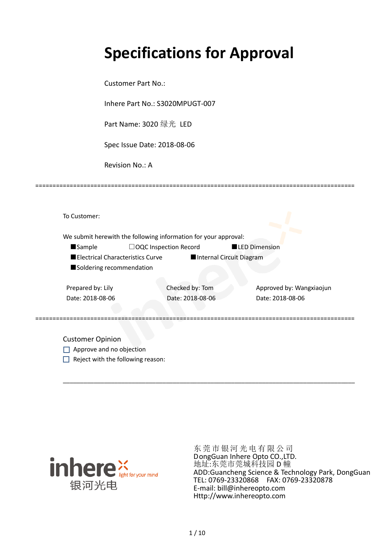# **Specifications for Approval**

Customer Part No.:

Inhere Part No.: S3020MPUGT-007

Part Name: 3020 绿光 LED

Spec Issue Date: 2018-08-06

Revision No.: A

|                          |                                  | We submit herewith the following information for your approval: |                          |                          |
|--------------------------|----------------------------------|-----------------------------------------------------------------|--------------------------|--------------------------|
| <b>Sample</b>            |                                  | $\Box$ OQC Inspection Record                                    |                          | <b>LED Dimension</b>     |
|                          | Electrical Characteristics Curve |                                                                 | Internal Circuit Diagram |                          |
| Soldering recommendation |                                  |                                                                 |                          |                          |
| Prepared by: Lily        |                                  | Checked by: Tom                                                 |                          | Approved by: Wangxiaojun |
| Date: 2018-08-06         |                                  | Date: 2018-08-06                                                |                          | Date: 2018-08-06         |
|                          |                                  |                                                                 |                          |                          |

\_\_\_\_\_\_\_\_\_\_\_\_\_\_\_\_\_\_\_\_\_\_\_\_\_\_\_\_\_\_\_\_\_\_\_\_\_\_\_\_\_\_\_\_\_\_\_\_\_\_\_\_\_\_\_\_\_\_\_\_\_\_\_\_\_\_\_\_\_\_\_\_\_\_\_\_\_\_\_\_\_\_\_\_\_

=============================================================================================

Approve and no objection  $\Box$  Reject with the following reason:



东莞市银河光电有限公司 DongGuan Inhere Opto CO.,LTD. 地址:东莞市莞城科技园 D 幢 ADD:Guancheng Science & Technology Park, DongGuan TEL: 0769-23320868 FAX: 0769-23320878 E-mail: bill@inhereopto.com [Http://www.inhereopto.com](http://www.inhereopto.com/)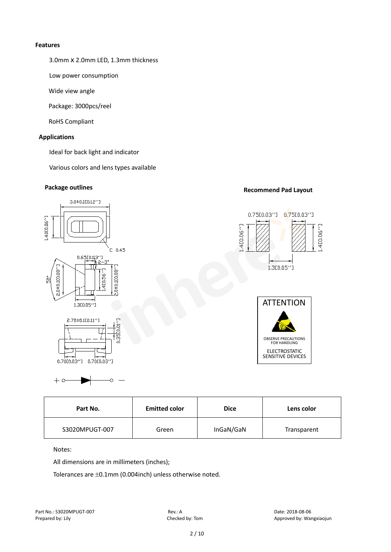#### **Features**

3.0mmⅹ2.0mm LED, 1.3mm thickness

Low power consumption

Wide view angle

Package: 3000pcs/reel

RoHS Compliant

#### **Applications**

Ideal for back light and indicator

Various colors and lens types available

# **Package outlines Recommend Pad Layout**



| Part No.       | <b>Emitted color</b> | <b>Dice</b> | Lens color  |  |
|----------------|----------------------|-------------|-------------|--|
| S3020MPUGT-007 | Green                | InGaN/GaN   | Transparent |  |

Notes:

 $+$  0

All dimensions are in millimeters (inches);

Tolerances are ±0.1mm (0.004inch) unless otherwise noted.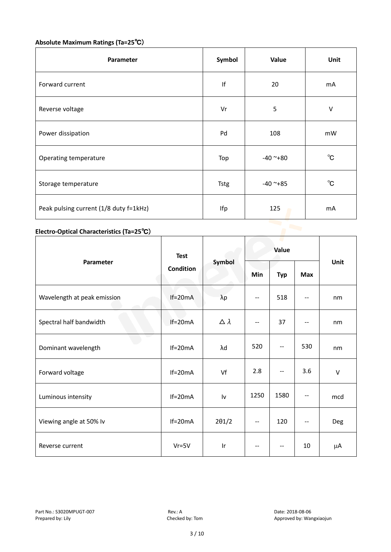# **Absolute Maximum Ratings (Ta=25**℃)

| Parameter                              | Symbol      | Value      | Unit           |
|----------------------------------------|-------------|------------|----------------|
| Forward current                        | If          | 20         | m <sub>A</sub> |
| Reverse voltage                        | Vr          | 5          | $\vee$         |
| Power dissipation                      | Pd          | 108        | mW             |
| Operating temperature                  | Top         | $-40$ ~+80 | $^{\circ}$ C   |
| Storage temperature                    | <b>Tstg</b> | $-40$ ~+85 | $^{\circ}$ C   |
| Peak pulsing current (1/8 duty f=1kHz) | Ifp         | 125        | mA             |

# **Electro-Optical Characteristics (Ta=25**℃)

|                             | <b>Test</b>      | Symbol           | Value |            |            | Unit   |
|-----------------------------|------------------|------------------|-------|------------|------------|--------|
| Parameter                   | <b>Condition</b> |                  | Min   | <b>Typ</b> | <b>Max</b> |        |
| Wavelength at peak emission | $If=20mA$        | $\lambda p$      | --    | 518        |            | nm     |
| Spectral half bandwidth     | $If=20mA$        | $\Delta \lambda$ | --    | 37         | --         | nm     |
| Dominant wavelength         | $If=20mA$        | λd               | 520   | --         | 530        | nm     |
| Forward voltage             | $If=20mA$        | Vf               | 2.8   | --         | 3.6        | $\vee$ |
| Luminous intensity          | $If=20mA$        | Iv               | 1250  | 1580       |            | mcd    |
| Viewing angle at 50% lv     | $If=20mA$        | $2\theta$ 1/2    | $-$   | 120        | $-$        | Deg    |
| Reverse current             | $Vr = 5V$        | Ir               | --    | --         | 10         | μA     |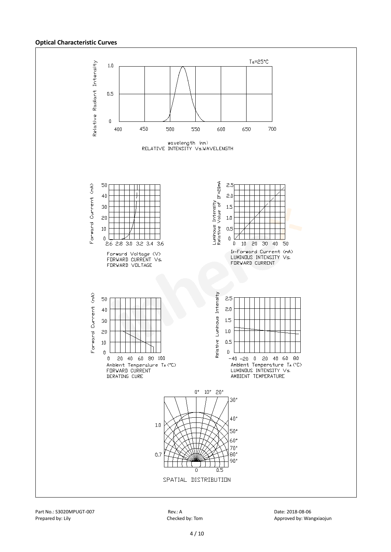#### **Optical Characteristic Curves**

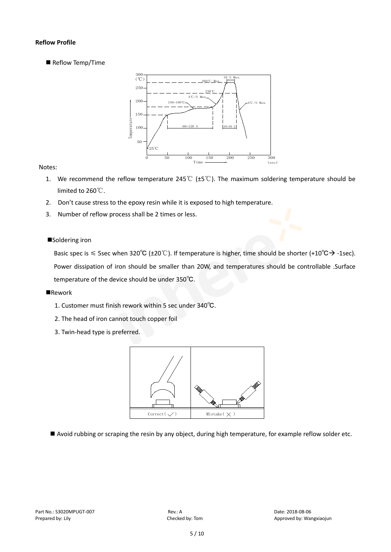#### **Reflow Profile**

Reflow Temp/Time



#### Notes:

- 1. We recommend the reflow temperature 245℃ (±5℃). The maximum soldering temperature should be limited to 260℃.
- 2. Don't cause stress to the epoxy resin while it is exposed to high temperature.
- 3. Number of reflow process shall be 2 times or less.

#### ■Soldering iron

Basic spec is  $\leq$  5sec when 320°C (±20°C). If temperature is higher, time should be shorter (+10°C $\rightarrow$ -1sec). Power dissipation of iron should be smaller than 20W, and temperatures should be controllable .Surface temperature of the device should be under 350℃.

#### **Rework**

- 1. Customer must finish rework within 5 sec under 340℃.
- 2. The head of iron cannot touch copper foil
- 3. Twin-head type is preferred.



Avoid rubbing or scraping the resin by any object, during high temperature, for example reflow solder etc.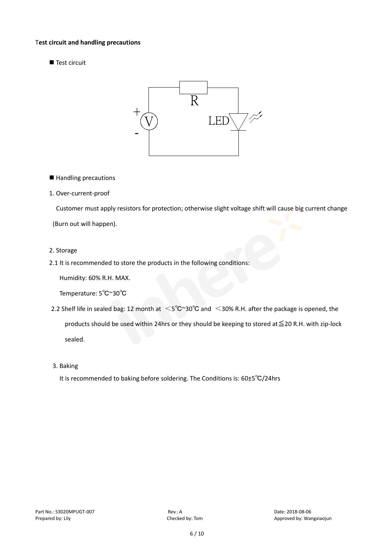#### T**est circuit and handling precautions**

Test circuit



■ Handling precautions

#### 1. Over-current-proof

Customer must apply resistors for protection; otherwise slight voltage shift will cause big current change

(Burn out will happen).

#### 2. Storage

2.1 It is recommended to store the products in the following conditions:

Humidity: 60% R.H. MAX.

Temperature: 5℃~30℃

- 2.2 Shelf life in sealed bag: 12 month at <5℃~30°C and <30% R.H. after the package is opened, the products should be used within 24hrs or they should be keeping to stored at≦20 R.H. with zip-lock sealed.
- 3. Baking

It is recommended to baking before soldering. The Conditions is: 60±5℃/24hrs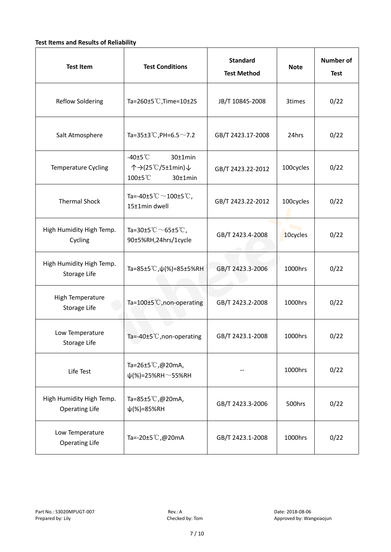#### **Test Items and Results of Reliability**

| <b>Test Item</b>                                  | <b>Test Conditions</b>                                                         | <b>Standard</b><br><b>Test Method</b> | <b>Note</b> | <b>Number of</b><br><b>Test</b> |
|---------------------------------------------------|--------------------------------------------------------------------------------|---------------------------------------|-------------|---------------------------------|
| <b>Reflow Soldering</b>                           | Ta=260 $\pm$ 5 °C, Time=10 $\pm$ 2S                                            | JB/T 10845-2008                       | 3times      | 0/22                            |
| Salt Atmosphere                                   | Ta=35±3°C, PH=6.5 $\sim$ 7.2                                                   | GB/T 2423.17-2008                     | 24hrs       | 0/22                            |
| Temperature Cycling                               | -40 $±5^{\circ}$ C<br>$30±1$ min<br>个→(25℃/5±1min)↓<br>100±5°C<br>$30±1$ min   | GB/T 2423.22-2012                     | 100cycles   | 0/22                            |
| <b>Thermal Shock</b>                              | Ta=-40±5 $\degree \text{C}$ $\sim$ 100±5 $\degree \text{C}$ ,<br>15±1min dwell | GB/T 2423.22-2012                     | 100cycles   | 0/22                            |
| High Humidity High Temp.<br>Cycling               | Ta=30±5 °C $\sim$ 65±5 °C,<br>90±5%RH,24hrs/1cycle                             | GB/T 2423.4-2008                      | 10cycles    | 0/22                            |
| High Humidity High Temp.<br>Storage Life          | Ta=85±5 °C, $\psi$ (%)=85±5%RH                                                 | GB/T 2423.3-2006                      | 1000hrs     | 0/22                            |
| High Temperature<br><b>Storage Life</b>           | Ta=100±5°C, non-operating                                                      | GB/T 2423.2-2008                      | 1000hrs     | 0/22                            |
| Low Temperature<br>Storage Life                   | Ta=-40±5℃, non-operating                                                       | GB/T 2423.1-2008                      | 1000hrs     | 0/22                            |
| Life Test                                         | Ta=26±5℃,@20mA,<br>$\psi$ (%)=25%RH~55%RH                                      |                                       | 1000hrs     | 0/22                            |
| High Humidity High Temp.<br><b>Operating Life</b> | Ta=85±5 $\degree$ C, @20mA,<br>$\psi$ (%)=85%RH                                | GB/T 2423.3-2006                      | 500hrs      | 0/22                            |
| Low Temperature<br><b>Operating Life</b>          | Ta=-20±5℃,@20mA                                                                | GB/T 2423.1-2008                      | 1000hrs     | 0/22                            |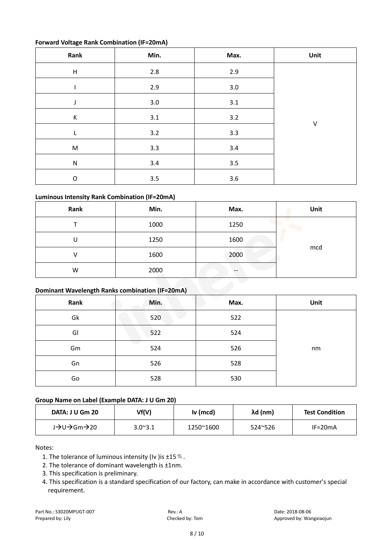#### **Forward Voltage Rank Combination (IF=20mA)**

| Rank                      | Min.    | Max.    | Unit    |
|---------------------------|---------|---------|---------|
| $\boldsymbol{\mathsf{H}}$ | $2.8\,$ | 2.9     |         |
|                           | 2.9     | 3.0     |         |
| J                         | 3.0     | 3.1     |         |
| К                         | 3.1     | 3.2     |         |
| L                         | 3.2     | 3.3     | $\sf V$ |
| ${\sf M}$                 | 3.3     | 3.4     |         |
| ${\sf N}$                 | 3.4     | 3.5     |         |
| $\mathsf O$               | $3.5\,$ | $3.6\,$ |         |

### **Luminous Intensity Rank Combination (IF=20mA)**

| Rank | Min. | Max. | Unit |
|------|------|------|------|
|      | 1000 | 1250 |      |
| U    | 1250 | 1600 |      |
|      | 1600 | 2000 | mcd  |
| W    | 2000 | --   |      |

#### **Dominant Wavelength Ranks combination (IF=20mA)**

| Rank | Min. | Max. | Unit |
|------|------|------|------|
| Gk   | 520  | 522  |      |
| GI   | 522  | 524  |      |
| Gm   | 524  | 526  | nm   |
| Gn   | 526  | 528  |      |
| Go   | 528  | 530  |      |

#### **Group Name on Label (Example DATA: J U Gm 20)**

| DATA: J U Gm 20 | Vf(V)            | Iv (mcd)  | λd (nm) | <b>Test Condition</b> |
|-----------------|------------------|-----------|---------|-----------------------|
| J→U→Gm→20       | $3.0^{\circ}3.1$ | 1250~1600 | 524~526 | $IF=20mA$             |

Notes:

- 1. The tolerance of luminous intensity (Iv ) is  $\pm 15\%$ .
- 2. The tolerance of dominant wavelength is ±1nm.
- 3. This specification is preliminary.
- 4. This specification is a standard specification of our factory, can make in accordance with customer's special requirement.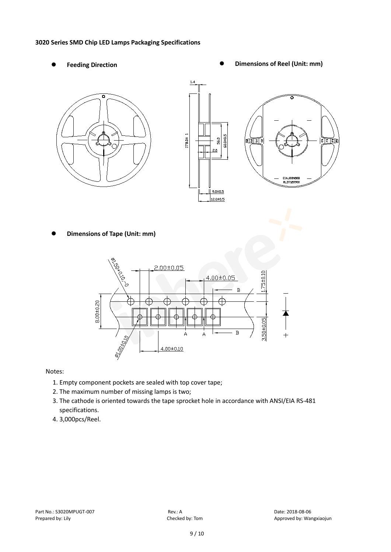#### **3020 Series SMD Chip LED Lamps Packaging Specifications**

- 
- Feeding Direction **Constanting Construction Constanting Operations Construction Constanting Construction Constanting Construction**





**Dimensions of Tape (Unit: mm)**



Notes:

- 1. Empty component pockets are sealed with top cover tape;
- 2. The maximum number of missing lamps is two;
- 3. The cathode is oriented towards the tape sprocket hole in accordance with ANSI/EIA RS-481 specifications.
- 4. 3,000pcs/Reel.